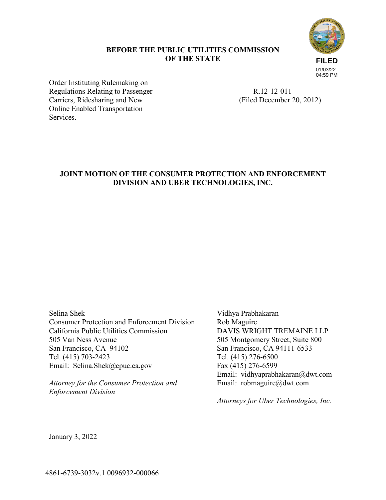# **BEFORE THE PUBLIC UTILITIES COMMISSION OF THE STATE**



Order Instituting Rulemaking on Regulations Relating to Passenger Carriers, Ridesharing and New Online Enabled Transportation Services.

 R.12-12-011 (Filed December 20, 2012)

# **JOINT MOTION OF THE CONSUMER PROTECTION AND ENFORCEMENT DIVISION AND UBER TECHNOLOGIES, INC.**

Selina Shek

Consumer Protection and Enforcement Division California Public Utilities Commission 505 Van Ness Avenue San Francisco, CA 94102 Tel. (415) 703-2423 Email: Selina.Shek@cpuc.ca.gov

*Attorney for the Consumer Protection and Enforcement Division* 

Vidhya Prabhakaran Rob Maguire DAVIS WRIGHT TREMAINE LLP 505 Montgomery Street, Suite 800 San Francisco, CA 94111-6533 Tel. (415) 276-6500 Fax (415) 276-6599 Email: vidhyaprabhakaran@dwt.com Email: robmaguire@dwt.com

*Attorneys for Uber Technologies, Inc.*

January 3, 2022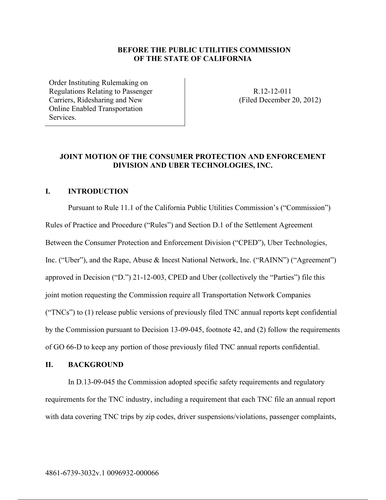### **BEFORE THE PUBLIC UTILITIES COMMISSION OF THE STATE OF CALIFORNIA**

Order Instituting Rulemaking on Regulations Relating to Passenger Carriers, Ridesharing and New Online Enabled Transportation Services.

 R.12-12-011 (Filed December 20, 2012)

## **JOINT MOTION OF THE CONSUMER PROTECTION AND ENFORCEMENT DIVISION AND UBER TECHNOLOGIES, INC.**

### **I. INTRODUCTION**

Pursuant to Rule 11.1 of the California Public Utilities Commission's ("Commission") Rules of Practice and Procedure ("Rules") and Section D.1 of the Settlement Agreement Between the Consumer Protection and Enforcement Division ("CPED"), Uber Technologies, Inc. ("Uber"), and the Rape, Abuse & Incest National Network, Inc. ("RAINN") ("Agreement") approved in Decision ("D.") 21-12-003, CPED and Uber (collectively the "Parties") file this joint motion requesting the Commission require all Transportation Network Companies ("TNCs") to (1) release public versions of previously filed TNC annual reports kept confidential by the Commission pursuant to Decision 13-09-045, footnote 42, and (2) follow the requirements of GO 66-D to keep any portion of those previously filed TNC annual reports confidential.

#### **II. BACKGROUND**

In D.13-09-045 the Commission adopted specific safety requirements and regulatory requirements for the TNC industry, including a requirement that each TNC file an annual report with data covering TNC trips by zip codes, driver suspensions/violations, passenger complaints,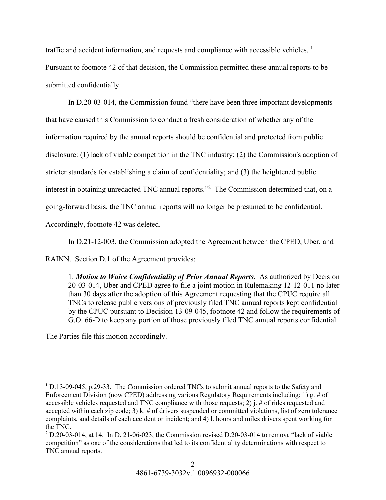traffic and accident information, and requests and compliance with accessible vehicles.<sup>1</sup> Pursuant to footnote 42 of that decision, the Commission permitted these annual reports to be submitted confidentially.

In D.20-03-014, the Commission found "there have been three important developments that have caused this Commission to conduct a fresh consideration of whether any of the information required by the annual reports should be confidential and protected from public disclosure: (1) lack of viable competition in the TNC industry; (2) the Commission's adoption of stricter standards for establishing a claim of confidentiality; and (3) the heightened public interest in obtaining unredacted TNC annual reports."<sup>2</sup> The Commission determined that, on a going-forward basis, the TNC annual reports will no longer be presumed to be confidential. Accordingly, footnote 42 was deleted.

In D.21-12-003, the Commission adopted the Agreement between the CPED, Uber, and

RAINN. Section D.1 of the Agreement provides:

1. *Motion to Waive Confidentiality of Prior Annual Reports.* As authorized by Decision 20-03-014, Uber and CPED agree to file a joint motion in Rulemaking 12-12-011 no later than 30 days after the adoption of this Agreement requesting that the CPUC require all TNCs to release public versions of previously filed TNC annual reports kept confidential by the CPUC pursuant to Decision 13-09-045, footnote 42 and follow the requirements of G.O. 66-D to keep any portion of those previously filed TNC annual reports confidential.

The Parties file this motion accordingly.

 $1$  D.13-09-045, p.29-33. The Commission ordered TNCs to submit annual reports to the Safety and Enforcement Division (now CPED) addressing various Regulatory Requirements including: 1) g. # of accessible vehicles requested and TNC compliance with those requests; 2) j. # of rides requested and accepted within each zip code; 3) k. # of drivers suspended or committed violations, list of zero tolerance complaints, and details of each accident or incident; and 4) l. hours and miles drivers spent working for the TNC.

 $2$  D.20-03-014, at 14. In D. 21-06-023, the Commission revised D.20-03-014 to remove "lack of viable" competition" as one of the considerations that led to its confidentiality determinations with respect to TNC annual reports.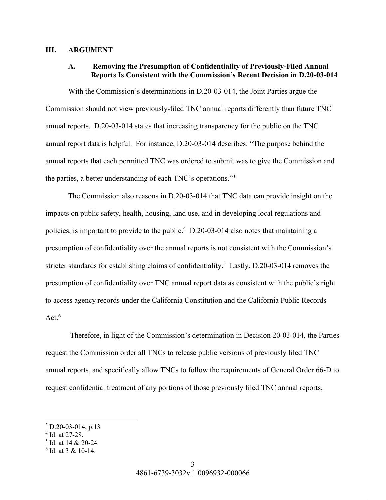#### **III. ARGUMENT**

## **A. Removing the Presumption of Confidentiality of Previously-Filed Annual Reports Is Consistent with the Commission's Recent Decision in D.20-03-014**

With the Commission's determinations in D.20-03-014, the Joint Parties argue the Commission should not view previously-filed TNC annual reports differently than future TNC annual reports. D.20-03-014 states that increasing transparency for the public on the TNC annual report data is helpful. For instance, D.20-03-014 describes: "The purpose behind the annual reports that each permitted TNC was ordered to submit was to give the Commission and the parties, a better understanding of each TNC's operations."<sup>3</sup>

The Commission also reasons in D.20-03-014 that TNC data can provide insight on the impacts on public safety, health, housing, land use, and in developing local regulations and policies, is important to provide to the public.<sup>4</sup> D.20-03-014 also notes that maintaining a presumption of confidentiality over the annual reports is not consistent with the Commission's stricter standards for establishing claims of confidentiality.<sup>5</sup> Lastly, D.20-03-014 removes the presumption of confidentiality over TNC annual report data as consistent with the public's right to access agency records under the California Constitution and the California Public Records  $Act<sup>6</sup>$ 

 Therefore, in light of the Commission's determination in Decision 20-03-014, the Parties request the Commission order all TNCs to release public versions of previously filed TNC annual reports, and specifically allow TNCs to follow the requirements of General Order 66-D to request confidential treatment of any portions of those previously filed TNC annual reports.

<sup>3</sup> D.20-03-014, p.13

<sup>4</sup> Id. at 27-28.

<sup>5</sup> Id. at 14 & 20-24.

<sup>6</sup> Id. at 3 & 10-14.